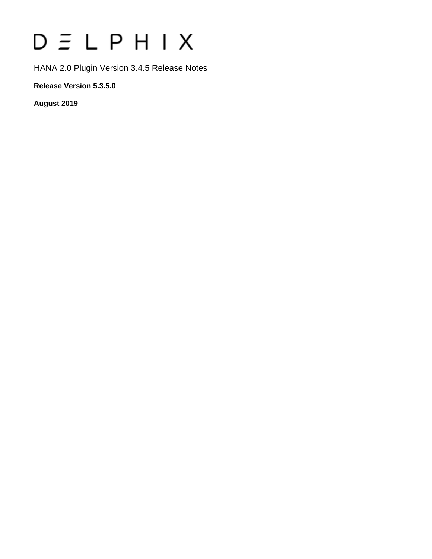# $D \subseteq L$   $P$   $H$   $I$   $X$

HANA 2.0 Plugin Version 3.4.5 Release Notes

**Release Version 5.3.5.0**

**August 2019**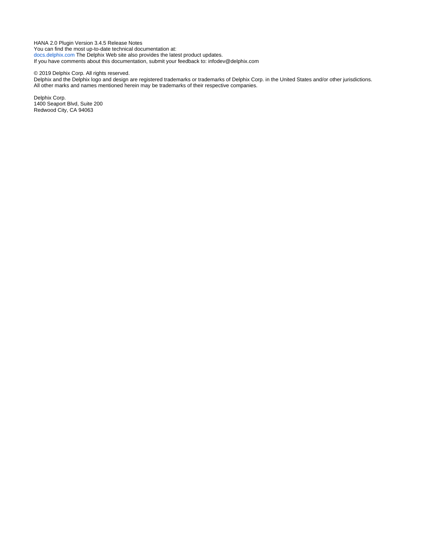HANA 2.0 Plugin Version 3.4.5 Release Notes You can find the most up-to-date technical documentation at: [docs.delphix.com](http://docs.delphix.com) The Delphix Web site also provides the latest product updates. If you have comments about this documentation, submit your feedback to: infodev@delphix.com

© 2019 Delphix Corp. All rights reserved.

Delphix and the Delphix logo and design are registered trademarks or trademarks of Delphix Corp. in the United States and/or other jurisdictions. All other marks and names mentioned herein may be trademarks of their respective companies.

Delphix Corp. 1400 Seaport Blvd, Suite 200 Redwood City, CA 94063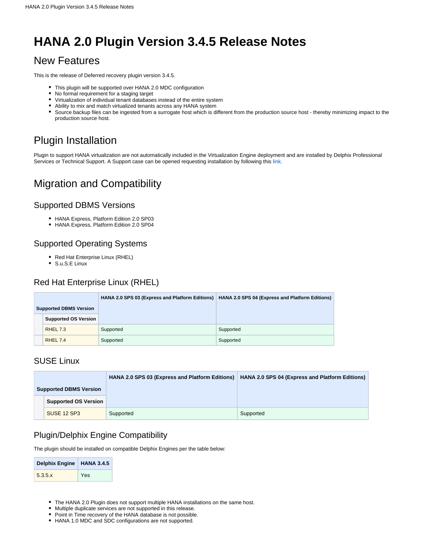## **HANA 2.0 Plugin Version 3.4.5 Release Notes**

## New Features

This is the release of Deferred recovery plugin version 3.4.5.

- This plugin will be supported over HANA 2.0 MDC configuration
- No formal requirement for a staging target
- Virtualization of individual tenant databases instead of the entire system
- Ability to mix and match virtualized tenants across any HANA system
- Source backup files can be ingested from a surrogate host which is different from the production source host thereby minimizing impact to the production source host.

## Plugin Installation

Plugin to support HANA virtualization are not automatically included in the Virtualization Engine deployment and are installed by Delphix Professional Services or Technical Support. A Support case can be opened requesting installation by following this [link](http://support-tickets.delphix.com/).

## Migration and Compatibility

#### Supported DBMS Versions

- HANA Express, Platform Edition 2.0 SP03
- HANA Express, Platform Edition 2.0 SP04

#### Supported Operating Systems

- Red Hat Enterprise Linux (RHEL)
- S.u.S.E Linux

#### Red Hat Enterprise Linux (RHEL)

|                               |                             |           | HANA 2.0 SPS 03 (Express and Platform Editions) HANA 2.0 SPS 04 (Express and Platform Editions) |
|-------------------------------|-----------------------------|-----------|-------------------------------------------------------------------------------------------------|
| <b>Supported DBMS Version</b> |                             |           |                                                                                                 |
|                               | <b>Supported OS Version</b> |           |                                                                                                 |
|                               | <b>RHEL 7.3</b>             | Supported | Supported                                                                                       |
|                               | RHEL 7.4                    | Supported | Supported                                                                                       |

#### SUSE Linux

|                               |                             | <b>HANA 2.0 SPS 03 (Express and Platform Editions)</b> | <b>HANA 2.0 SPS 04 (Express and Platform Editions)</b> |
|-------------------------------|-----------------------------|--------------------------------------------------------|--------------------------------------------------------|
| <b>Supported DBMS Version</b> |                             |                                                        |                                                        |
|                               | <b>Supported OS Version</b> |                                                        |                                                        |
|                               | SUSE 12 SP3                 | Supported                                              | Supported                                              |

#### Plugin/Delphix Engine Compatibility

The plugin should be installed on compatible Delphix Engines per the table below:

| Delphix Engine   HANA 3.4.5 |     |  |
|-----------------------------|-----|--|
| 5.3.5.x                     | Yes |  |

- The HANA 2.0 Plugin does not support multiple HANA installations on the same host.
- Multiple duplicate services are not supported in this release.
- Point in Time recovery of the HANA database is not possible.
- HANA 1.0 MDC and SDC configurations are not supported.